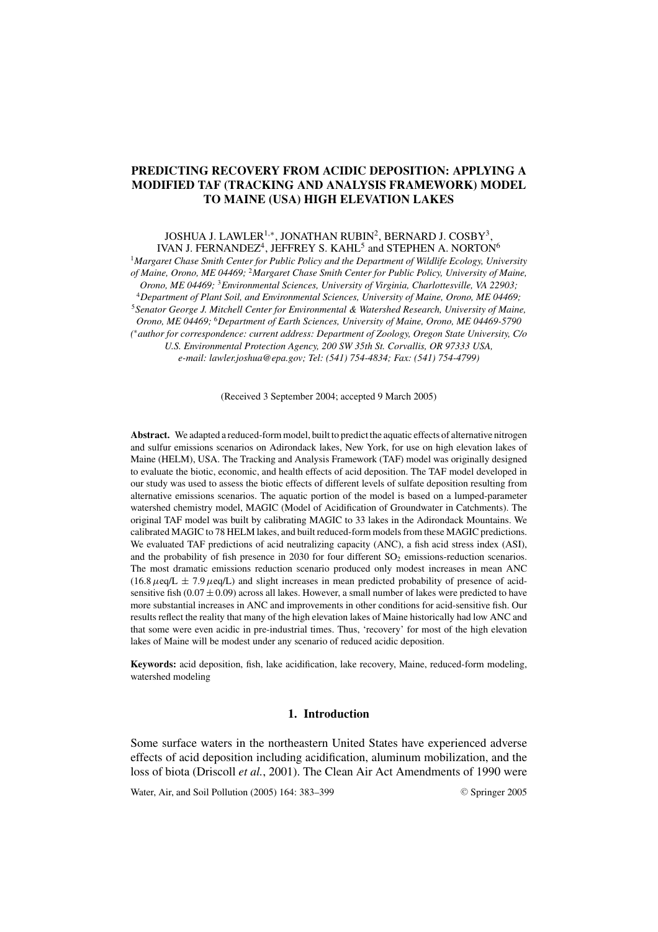# **PREDICTING RECOVERY FROM ACIDIC DEPOSITION: APPLYING A MODIFIED TAF (TRACKING AND ANALYSIS FRAMEWORK) MODEL TO MAINE (USA) HIGH ELEVATION LAKES**

JOSHUA J. LAWLER1,∗, JONATHAN RUBIN2, BERNARD J. COSBY3, IVAN J. FERNANDEZ<sup>4</sup>, JEFFREY S. KAHL<sup>5</sup> and STEPHEN A. NORTON<sup>6</sup>

<sup>1</sup>*Margaret Chase Smith Center for Public Policy and the Department of Wildlife Ecology, University of Maine, Orono, ME 04469;* <sup>2</sup>*Margaret Chase Smith Center for Public Policy, University of Maine, Orono, ME 04469;* <sup>3</sup>*Environmental Sciences, University of Virginia, Charlottesville, VA 22903;* <sup>4</sup>*Department of Plant Soil, and Environmental Sciences, University of Maine, Orono, ME 04469;* <sup>5</sup>*Senator George J. Mitchell Center for Environmental & Watershed Research, University of Maine, Orono, ME 04469;* <sup>6</sup>*Department of Earth Sciences, University of Maine, Orono, ME 04469-5790 (* <sup>∗</sup>*author for correspondence: current address: Department of Zoology, Oregon State University, C/o U.S. Environmental Protection Agency, 200 SW 35th St. Corvallis, OR 97333 USA, e-mail: lawler.joshua@epa.gov; Tel: (541) 754-4834; Fax: (541) 754-4799)*

(Received 3 September 2004; accepted 9 March 2005)

**Abstract.** We adapted a reduced-form model, built to predict the aquatic effects of alternative nitrogen and sulfur emissions scenarios on Adirondack lakes, New York, for use on high elevation lakes of Maine (HELM), USA. The Tracking and Analysis Framework (TAF) model was originally designed to evaluate the biotic, economic, and health effects of acid deposition. The TAF model developed in our study was used to assess the biotic effects of different levels of sulfate deposition resulting from alternative emissions scenarios. The aquatic portion of the model is based on a lumped-parameter watershed chemistry model, MAGIC (Model of Acidification of Groundwater in Catchments). The original TAF model was built by calibrating MAGIC to 33 lakes in the Adirondack Mountains. We calibrated MAGIC to 78 HELM lakes, and built reduced-form models from these MAGIC predictions. We evaluated TAF predictions of acid neutralizing capacity (ANC), a fish acid stress index (ASI), and the probability of fish presence in 2030 for four different  $SO_2$  emissions-reduction scenarios. The most dramatic emissions reduction scenario produced only modest increases in mean ANC  $(16.8 \mu \text{eq/L} \pm 7.9 \mu \text{eq/L})$  and slight increases in mean predicted probability of presence of acidsensitive fish  $(0.07 \pm 0.09)$  across all lakes. However, a small number of lakes were predicted to have more substantial increases in ANC and improvements in other conditions for acid-sensitive fish. Our results reflect the reality that many of the high elevation lakes of Maine historically had low ANC and that some were even acidic in pre-industrial times. Thus, 'recovery' for most of the high elevation lakes of Maine will be modest under any scenario of reduced acidic deposition.

**Keywords:** acid deposition, fish, lake acidification, lake recovery, Maine, reduced-form modeling, watershed modeling

## **1. Introduction**

Some surface waters in the northeastern United States have experienced adverse effects of acid deposition including acidification, aluminum mobilization, and the loss of biota (Driscoll *et al.*, 2001). The Clean Air Act Amendments of 1990 were

Water, Air, and Soil Pollution (2005) 164: 383-399

<sup>C</sup> Springer 2005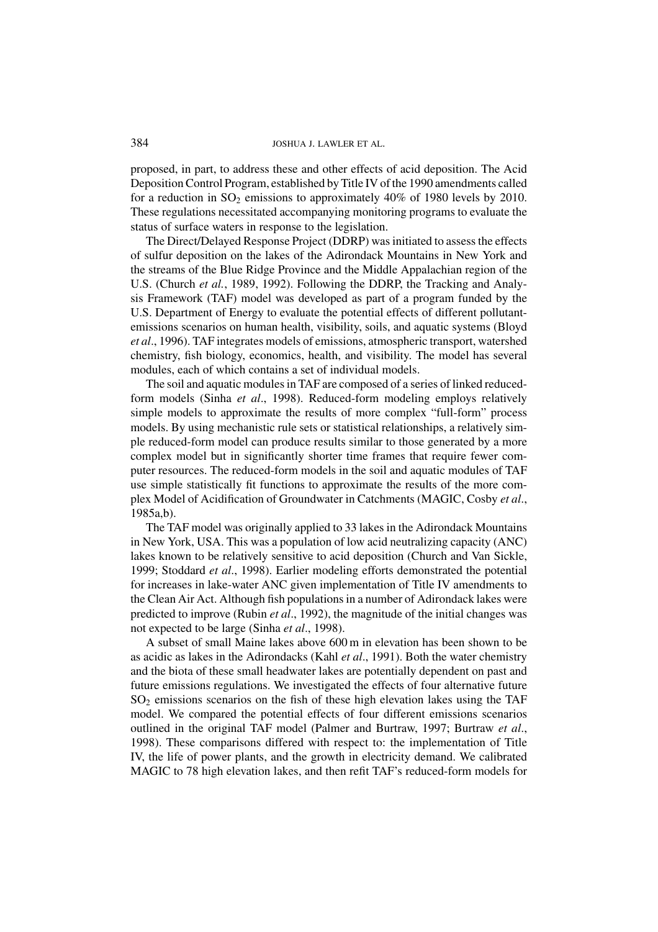proposed, in part, to address these and other effects of acid deposition. The Acid Deposition Control Program, established by Title IV of the 1990 amendments called for a reduction in  $SO_2$  emissions to approximately 40% of 1980 levels by 2010. These regulations necessitated accompanying monitoring programs to evaluate the status of surface waters in response to the legislation.

The Direct/Delayed Response Project (DDRP) was initiated to assess the effects of sulfur deposition on the lakes of the Adirondack Mountains in New York and the streams of the Blue Ridge Province and the Middle Appalachian region of the U.S. (Church *et al.*, 1989, 1992). Following the DDRP, the Tracking and Analysis Framework (TAF) model was developed as part of a program funded by the U.S. Department of Energy to evaluate the potential effects of different pollutantemissions scenarios on human health, visibility, soils, and aquatic systems (Bloyd *et al*., 1996). TAF integrates models of emissions, atmospheric transport, watershed chemistry, fish biology, economics, health, and visibility. The model has several modules, each of which contains a set of individual models.

The soil and aquatic modules in TAF are composed of a series of linked reducedform models (Sinha *et al*., 1998). Reduced-form modeling employs relatively simple models to approximate the results of more complex "full-form" process models. By using mechanistic rule sets or statistical relationships, a relatively simple reduced-form model can produce results similar to those generated by a more complex model but in significantly shorter time frames that require fewer computer resources. The reduced-form models in the soil and aquatic modules of TAF use simple statistically fit functions to approximate the results of the more complex Model of Acidification of Groundwater in Catchments (MAGIC, Cosby *et al*., 1985a,b).

The TAF model was originally applied to 33 lakes in the Adirondack Mountains in New York, USA. This was a population of low acid neutralizing capacity (ANC) lakes known to be relatively sensitive to acid deposition (Church and Van Sickle, 1999; Stoddard *et al*., 1998). Earlier modeling efforts demonstrated the potential for increases in lake-water ANC given implementation of Title IV amendments to the Clean Air Act. Although fish populations in a number of Adirondack lakes were predicted to improve (Rubin *et al*., 1992), the magnitude of the initial changes was not expected to be large (Sinha *et al*., 1998).

A subset of small Maine lakes above 600 m in elevation has been shown to be as acidic as lakes in the Adirondacks (Kahl *et al*., 1991). Both the water chemistry and the biota of these small headwater lakes are potentially dependent on past and future emissions regulations. We investigated the effects of four alternative future  $SO<sub>2</sub>$  emissions scenarios on the fish of these high elevation lakes using the TAF model. We compared the potential effects of four different emissions scenarios outlined in the original TAF model (Palmer and Burtraw, 1997; Burtraw *et al*., 1998). These comparisons differed with respect to: the implementation of Title IV, the life of power plants, and the growth in electricity demand. We calibrated MAGIC to 78 high elevation lakes, and then refit TAF's reduced-form models for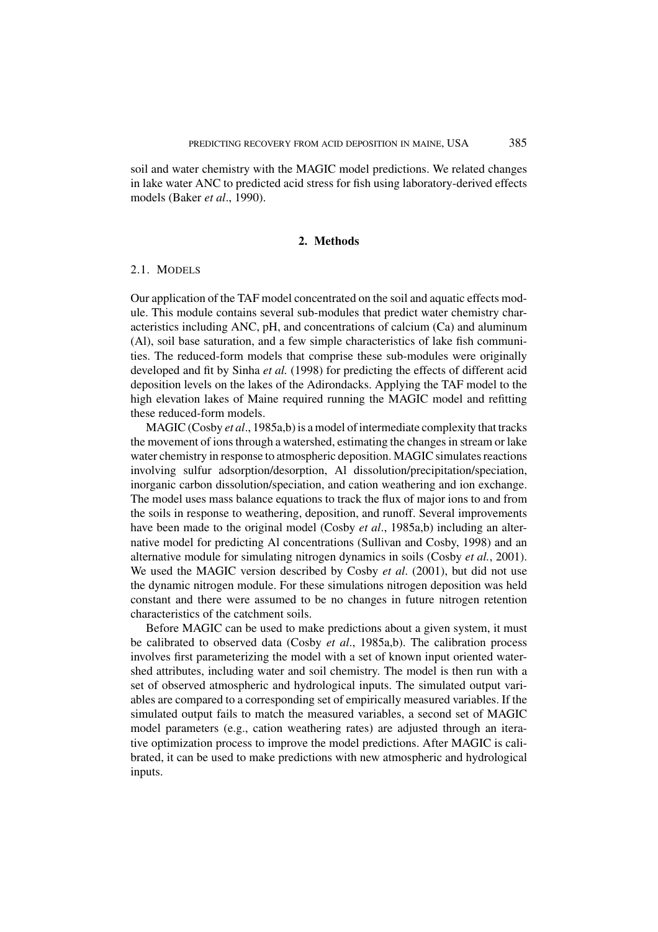soil and water chemistry with the MAGIC model predictions. We related changes in lake water ANC to predicted acid stress for fish using laboratory-derived effects models (Baker *et al*., 1990).

## **2. Methods**

#### 2.1. MODELS

Our application of the TAF model concentrated on the soil and aquatic effects module. This module contains several sub-modules that predict water chemistry characteristics including ANC, pH, and concentrations of calcium (Ca) and aluminum (Al), soil base saturation, and a few simple characteristics of lake fish communities. The reduced-form models that comprise these sub-modules were originally developed and fit by Sinha *et al.* (1998) for predicting the effects of different acid deposition levels on the lakes of the Adirondacks. Applying the TAF model to the high elevation lakes of Maine required running the MAGIC model and refitting these reduced-form models.

MAGIC (Cosby *et al*., 1985a,b) is a model of intermediate complexity that tracks the movement of ions through a watershed, estimating the changes in stream or lake water chemistry in response to atmospheric deposition. MAGIC simulates reactions involving sulfur adsorption/desorption, Al dissolution/precipitation/speciation, inorganic carbon dissolution/speciation, and cation weathering and ion exchange. The model uses mass balance equations to track the flux of major ions to and from the soils in response to weathering, deposition, and runoff. Several improvements have been made to the original model (Cosby *et al*., 1985a,b) including an alternative model for predicting Al concentrations (Sullivan and Cosby, 1998) and an alternative module for simulating nitrogen dynamics in soils (Cosby *et al.*, 2001). We used the MAGIC version described by Cosby *et al*. (2001), but did not use the dynamic nitrogen module. For these simulations nitrogen deposition was held constant and there were assumed to be no changes in future nitrogen retention characteristics of the catchment soils.

Before MAGIC can be used to make predictions about a given system, it must be calibrated to observed data (Cosby *et al*., 1985a,b). The calibration process involves first parameterizing the model with a set of known input oriented watershed attributes, including water and soil chemistry. The model is then run with a set of observed atmospheric and hydrological inputs. The simulated output variables are compared to a corresponding set of empirically measured variables. If the simulated output fails to match the measured variables, a second set of MAGIC model parameters (e.g., cation weathering rates) are adjusted through an iterative optimization process to improve the model predictions. After MAGIC is calibrated, it can be used to make predictions with new atmospheric and hydrological inputs.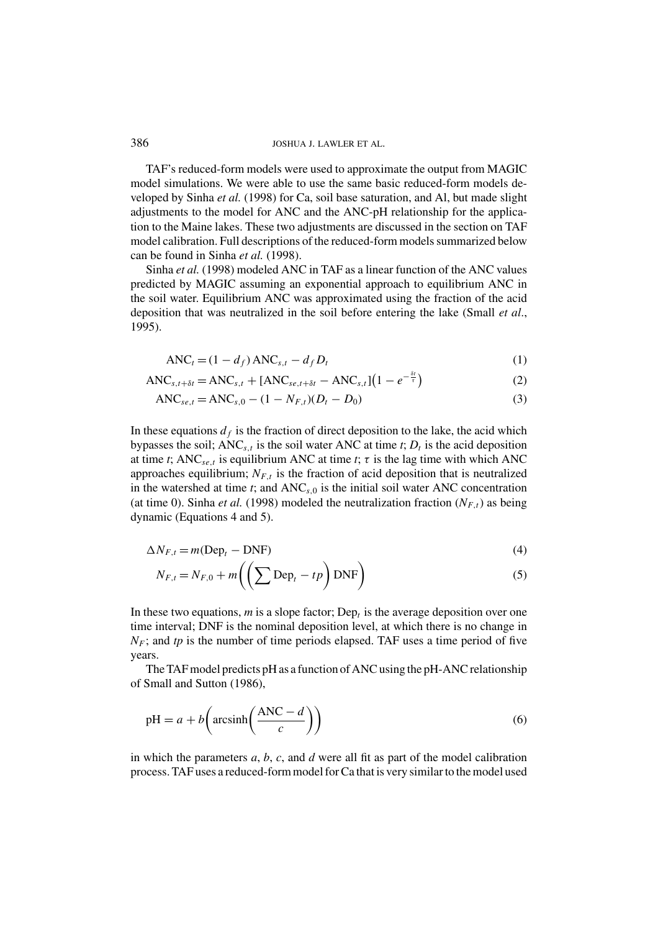TAF's reduced-form models were used to approximate the output from MAGIC model simulations. We were able to use the same basic reduced-form models developed by Sinha *et al.* (1998) for Ca, soil base saturation, and Al, but made slight adjustments to the model for ANC and the ANC-pH relationship for the application to the Maine lakes. These two adjustments are discussed in the section on TAF model calibration. Full descriptions of the reduced-form models summarized below can be found in Sinha *et al.* (1998).

Sinha *et al.* (1998) modeled ANC in TAF as a linear function of the ANC values predicted by MAGIC assuming an exponential approach to equilibrium ANC in the soil water. Equilibrium ANC was approximated using the fraction of the acid deposition that was neutralized in the soil before entering the lake (Small *et al*., 1995).

$$
ANCt = (1 - df) ANCs,t - dfDt
$$
\n(1)

 $\text{ANC}_{s,t+\delta t} = \text{ANC}_{s,t} + \text{[ANC}_{se,t+\delta t} - \text{ANC}_{s,t} \text{]} \left( 1 - e^{-\frac{\delta t}{\tau}} \right)$ (2)

$$
ANC_{se,t} = ANC_{s,0} - (1 - N_{F,t})(D_t - D_0)
$$
\n(3)

In these equations  $d_f$  is the fraction of direct deposition to the lake, the acid which bypasses the soil;  $ANC_{s,t}$  is the soil water ANC at time *t*;  $D_t$  is the acid deposition at time *t*; ANC<sub>se,*t*</sub> is equilibrium ANC at time *t*;  $\tau$  is the lag time with which ANC approaches equilibrium;  $N_{F,t}$  is the fraction of acid deposition that is neutralized in the watershed at time  $t$ ; and  $ANC<sub>s,0</sub>$  is the initial soil water ANC concentration (at time 0). Sinha *et al.* (1998) modeled the neutralization fraction  $(N_{F,t})$  as being dynamic (Equations 4 and 5).

$$
\Delta N_{F,t} = m(\text{Dep}_t - \text{DNF})\tag{4}
$$

$$
N_{F,t} = N_{F,0} + m \left( \left( \sum Dep_t - tp \right) \text{DNF} \right)
$$
 (5)

In these two equations, *m* is a slope factor; Dep<sub>r</sub> is the average deposition over one time interval; DNF is the nominal deposition level, at which there is no change in  $N_F$ ; and tp is the number of time periods elapsed. TAF uses a time period of five years.

The TAF model predicts pH as a function of ANC using the pH-ANC relationship of Small and Sutton (1986),

$$
pH = a + b\left(\arcsin\left(\frac{\text{ANC} - d}{c}\right)\right) \tag{6}
$$

in which the parameters *a*, *b*, *c*, and *d* were all fit as part of the model calibration process. TAF uses a reduced-form model for Ca that is very similar to the model used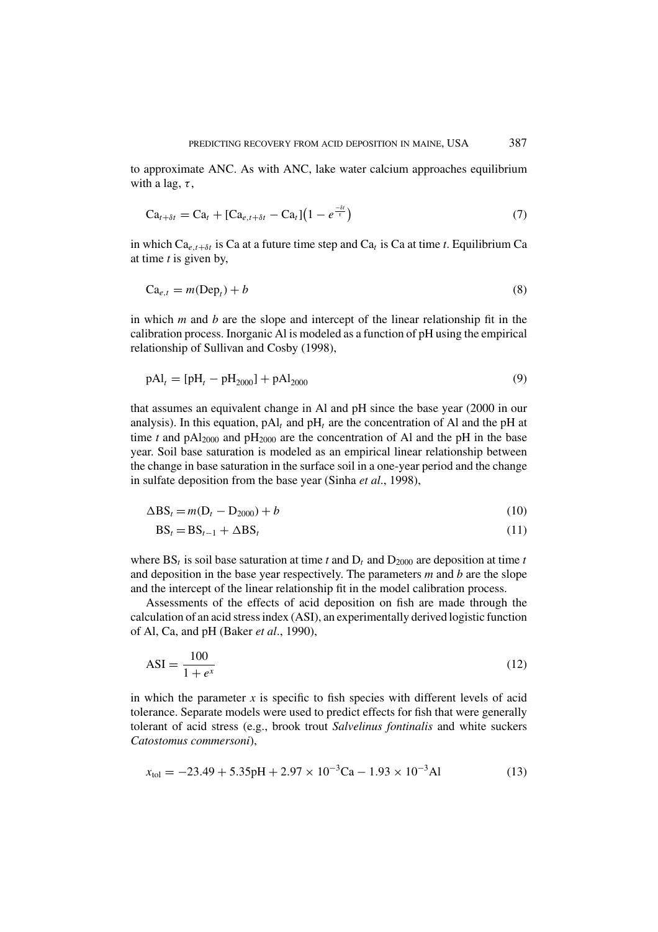to approximate ANC. As with ANC, lake water calcium approaches equilibrium with a lag,  $\tau$ ,

$$
\mathrm{Ca}_{t+\delta t} = \mathrm{Ca}_{t} + [\mathrm{Ca}_{e,t+\delta t} - \mathrm{Ca}_{t}](1 - e^{\frac{-\delta t}{\tau}})
$$
\n
$$
\tag{7}
$$

in which  $Ca_{e,t+\delta t}$  is Ca at a future time step and  $Ca_t$  is Ca at time *t*. Equilibrium Ca at time *t* is given by,

$$
Ca_{e,t} = m(Dep_t) + b \tag{8}
$$

in which *m* and *b* are the slope and intercept of the linear relationship fit in the calibration process. Inorganic Al is modeled as a function of pH using the empirical relationship of Sullivan and Cosby (1998),

$$
pAl_t = [pH_t - pH_{2000}] + pAl_{2000}
$$
\n(9)

that assumes an equivalent change in Al and pH since the base year (2000 in our analysis). In this equation,  $pAl_t$  and  $pH_t$  are the concentration of Al and the  $pH$  at time *t* and  $pAl_{2000}$  and  $pH_{2000}$  are the concentration of Al and the pH in the base year. Soil base saturation is modeled as an empirical linear relationship between the change in base saturation in the surface soil in a one-year period and the change in sulfate deposition from the base year (Sinha *et al*., 1998),

$$
\Delta \text{BS}_t = m(\text{D}_t - \text{D}_{2000}) + b \tag{10}
$$

$$
BS_t = BS_{t-1} + \Delta BS_t \tag{11}
$$

where  $BS_t$  is soil base saturation at time *t* and  $D_t$  and  $D_{2000}$  are deposition at time *t* and deposition in the base year respectively. The parameters *m* and *b* are the slope and the intercept of the linear relationship fit in the model calibration process.

Assessments of the effects of acid deposition on fish are made through the calculation of an acid stress index (ASI), an experimentally derived logistic function of Al, Ca, and pH (Baker *et al*., 1990),

$$
ASI = \frac{100}{1 + e^x} \tag{12}
$$

in which the parameter  $x$  is specific to fish species with different levels of acid tolerance. Separate models were used to predict effects for fish that were generally tolerant of acid stress (e.g., brook trout *Salvelinus fontinalis* and white suckers *Catostomus commersoni*),

$$
x_{\text{tol}} = -23.49 + 5.35 \text{pH} + 2.97 \times 10^{-3} \text{Ca} - 1.93 \times 10^{-3} \text{Al}
$$
 (13)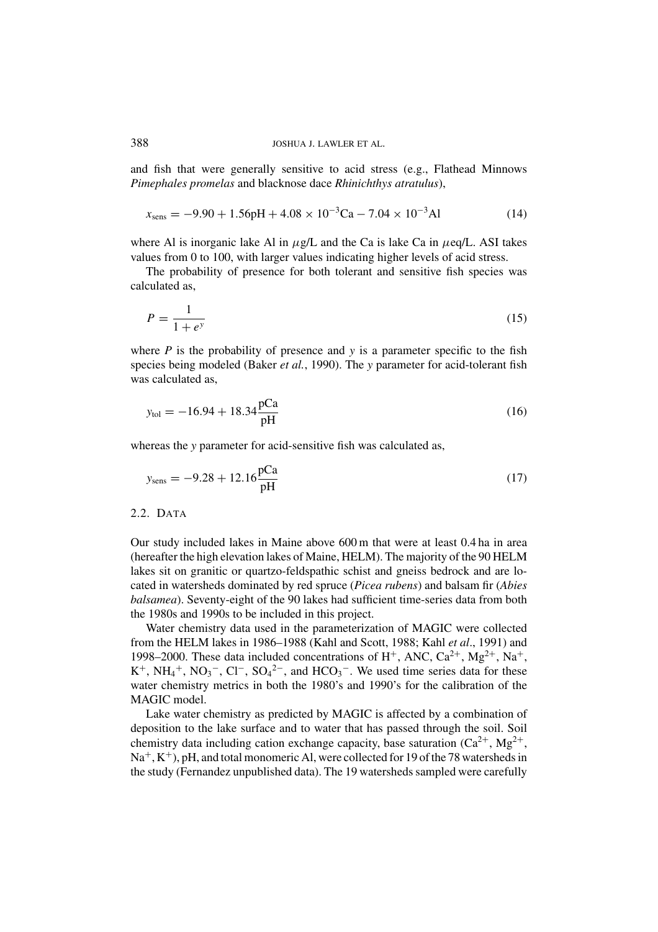and fish that were generally sensitive to acid stress (e.g., Flathead Minnows *Pimephales promelas* and blacknose dace *Rhinichthys atratulus*),

$$
x_{\text{sens}} = -9.90 + 1.56 \text{pH} + 4.08 \times 10^{-3} \text{Ca} - 7.04 \times 10^{-3} \text{Al}
$$
 (14)

where Al is inorganic lake Al in  $\mu$ g/L and the Ca is lake Ca in  $\mu$ eq/L. ASI takes values from 0 to 100, with larger values indicating higher levels of acid stress.

The probability of presence for both tolerant and sensitive fish species was calculated as,

$$
P = \frac{1}{1 + e^y} \tag{15}
$$

where  $P$  is the probability of presence and  $y$  is a parameter specific to the fish species being modeled (Baker *et al.*, 1990). The *y* parameter for acid-tolerant fish was calculated as,

$$
y_{\text{tol}} = -16.94 + 18.34 \frac{\text{pCa}}{\text{pH}}
$$
 (16)

whereas the *y* parameter for acid-sensitive fish was calculated as,

$$
y_{\rm sens} = -9.28 + 12.16 \frac{\rm pCa}{\rm pH} \tag{17}
$$

# 2.2. DATA

Our study included lakes in Maine above 600 m that were at least 0.4 ha in area (hereafter the high elevation lakes of Maine, HELM). The majority of the 90 HELM lakes sit on granitic or quartzo-feldspathic schist and gneiss bedrock and are located in watersheds dominated by red spruce (*Picea rubens*) and balsam fir (*Abies balsamea*). Seventy-eight of the 90 lakes had sufficient time-series data from both the 1980s and 1990s to be included in this project.

Water chemistry data used in the parameterization of MAGIC were collected from the HELM lakes in 1986–1988 (Kahl and Scott, 1988; Kahl *et al*., 1991) and 1998–2000. These data included concentrations of  $H^+$ , ANC,  $Ca^{2+}$ ,  $Mg^{2+}$ , Na<sup>+</sup>, K<sup>+</sup>, NH<sub>4</sub><sup>+</sup>, NO<sub>3</sub><sup>-</sup>, Cl<sup>-</sup>, SO<sub>4</sub><sup>2-</sup>, and HCO<sub>3</sub><sup>-</sup>. We used time series data for these water chemistry metrics in both the 1980's and 1990's for the calibration of the MAGIC model.

Lake water chemistry as predicted by MAGIC is affected by a combination of deposition to the lake surface and to water that has passed through the soil. Soil chemistry data including cation exchange capacity, base saturation  $(Ca^{2+}, Mg^{2+},$  $Na^+, K^+$ ), pH, and total monomeric Al, were collected for 19 of the 78 watersheds in the study (Fernandez unpublished data). The 19 watersheds sampled were carefully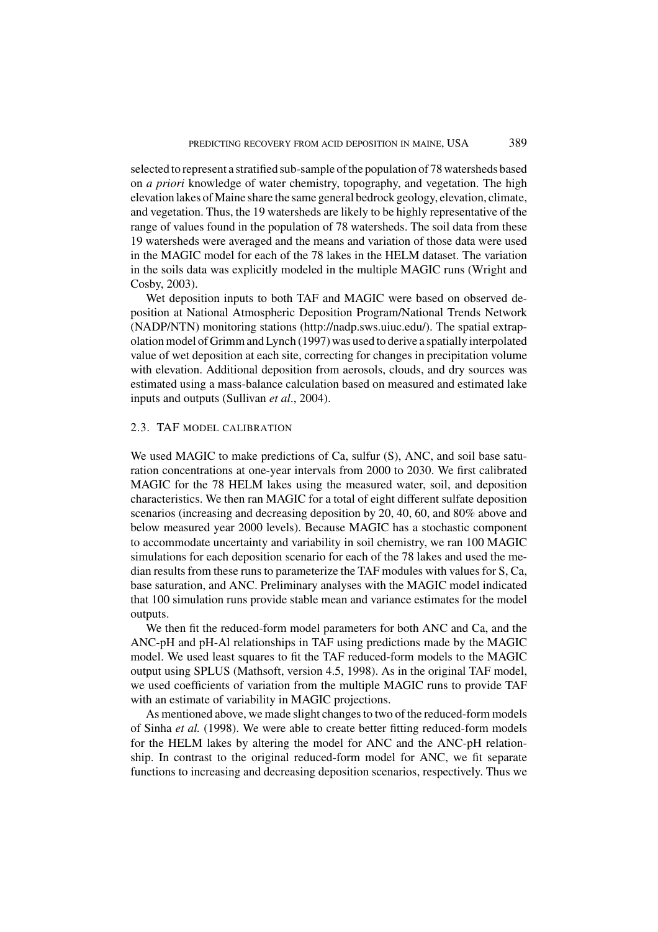selected to represent a stratified sub-sample of the population of 78 watersheds based on *a priori* knowledge of water chemistry, topography, and vegetation. The high elevation lakes of Maine share the same general bedrock geology, elevation, climate, and vegetation. Thus, the 19 watersheds are likely to be highly representative of the range of values found in the population of 78 watersheds. The soil data from these 19 watersheds were averaged and the means and variation of those data were used in the MAGIC model for each of the 78 lakes in the HELM dataset. The variation in the soils data was explicitly modeled in the multiple MAGIC runs (Wright and Cosby, 2003).

Wet deposition inputs to both TAF and MAGIC were based on observed deposition at National Atmospheric Deposition Program/National Trends Network (NADP/NTN) monitoring stations (http://nadp.sws.uiuc.edu/). The spatial extrapolation model of Grimm and Lynch (1997) was used to derive a spatially interpolated value of wet deposition at each site, correcting for changes in precipitation volume with elevation. Additional deposition from aerosols, clouds, and dry sources was estimated using a mass-balance calculation based on measured and estimated lake inputs and outputs (Sullivan *et al*., 2004).

### 2.3. TAF MODEL CALIBRATION

We used MAGIC to make predictions of Ca, sulfur (S), ANC, and soil base saturation concentrations at one-year intervals from 2000 to 2030. We first calibrated MAGIC for the 78 HELM lakes using the measured water, soil, and deposition characteristics. We then ran MAGIC for a total of eight different sulfate deposition scenarios (increasing and decreasing deposition by 20, 40, 60, and 80% above and below measured year 2000 levels). Because MAGIC has a stochastic component to accommodate uncertainty and variability in soil chemistry, we ran 100 MAGIC simulations for each deposition scenario for each of the 78 lakes and used the median results from these runs to parameterize the TAF modules with values for S, Ca, base saturation, and ANC. Preliminary analyses with the MAGIC model indicated that 100 simulation runs provide stable mean and variance estimates for the model outputs.

We then fit the reduced-form model parameters for both ANC and Ca, and the ANC-pH and pH-Al relationships in TAF using predictions made by the MAGIC model. We used least squares to fit the TAF reduced-form models to the MAGIC output using SPLUS (Mathsoft, version 4.5, 1998). As in the original TAF model, we used coefficients of variation from the multiple MAGIC runs to provide TAF with an estimate of variability in MAGIC projections.

As mentioned above, we made slight changes to two of the reduced-form models of Sinha *et al.* (1998). We were able to create better fitting reduced-form models for the HELM lakes by altering the model for ANC and the ANC-pH relationship. In contrast to the original reduced-form model for ANC, we fit separate functions to increasing and decreasing deposition scenarios, respectively. Thus we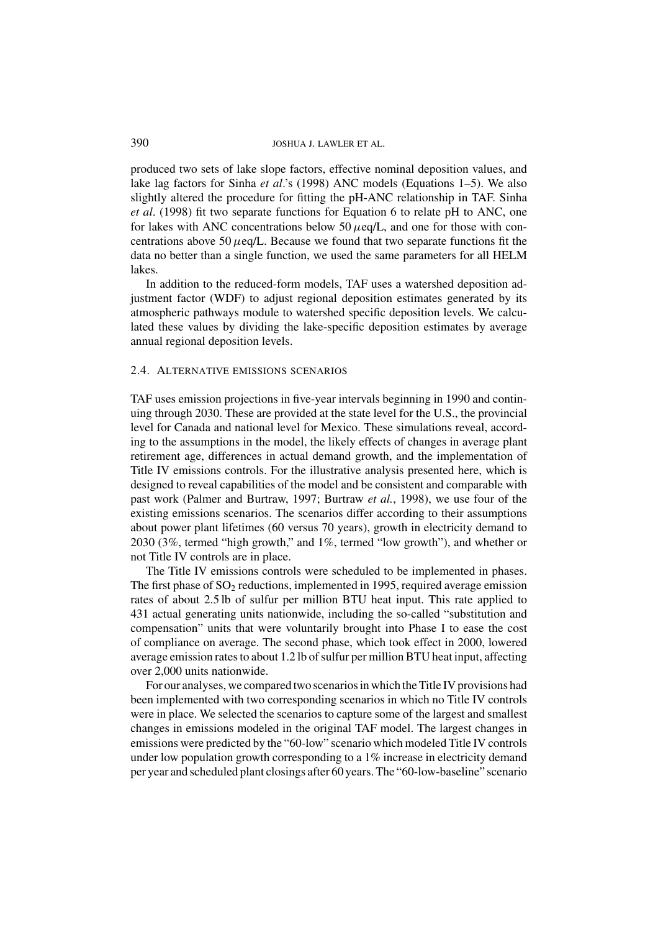produced two sets of lake slope factors, effective nominal deposition values, and lake lag factors for Sinha *et al*.'s (1998) ANC models (Equations 1–5). We also slightly altered the procedure for fitting the pH-ANC relationship in TAF. Sinha *et al*. (1998) fit two separate functions for Equation 6 to relate pH to ANC, one for lakes with ANC concentrations below  $50 \mu$ eq/L, and one for those with concentrations above 50  $\mu$ eq/L. Because we found that two separate functions fit the data no better than a single function, we used the same parameters for all HELM lakes.

In addition to the reduced-form models, TAF uses a watershed deposition adjustment factor (WDF) to adjust regional deposition estimates generated by its atmospheric pathways module to watershed specific deposition levels. We calculated these values by dividing the lake-specific deposition estimates by average annual regional deposition levels.

## 2.4. ALTERNATIVE EMISSIONS SCENARIOS

TAF uses emission projections in five-year intervals beginning in 1990 and continuing through 2030. These are provided at the state level for the U.S., the provincial level for Canada and national level for Mexico. These simulations reveal, according to the assumptions in the model, the likely effects of changes in average plant retirement age, differences in actual demand growth, and the implementation of Title IV emissions controls. For the illustrative analysis presented here, which is designed to reveal capabilities of the model and be consistent and comparable with past work (Palmer and Burtraw, 1997; Burtraw *et al.*, 1998), we use four of the existing emissions scenarios. The scenarios differ according to their assumptions about power plant lifetimes (60 versus 70 years), growth in electricity demand to 2030 (3%, termed "high growth," and 1%, termed "low growth"), and whether or not Title IV controls are in place.

The Title IV emissions controls were scheduled to be implemented in phases. The first phase of  $SO_2$  reductions, implemented in 1995, required average emission rates of about 2.5 lb of sulfur per million BTU heat input. This rate applied to 431 actual generating units nationwide, including the so-called "substitution and compensation" units that were voluntarily brought into Phase I to ease the cost of compliance on average. The second phase, which took effect in 2000, lowered average emission rates to about 1.2 lb of sulfur per million BTU heat input, affecting over 2,000 units nationwide.

For our analyses, we compared two scenarios in which the Title IV provisions had been implemented with two corresponding scenarios in which no Title IV controls were in place. We selected the scenarios to capture some of the largest and smallest changes in emissions modeled in the original TAF model. The largest changes in emissions were predicted by the "60-low" scenario which modeled Title IV controls under low population growth corresponding to a 1% increase in electricity demand per year and scheduled plant closings after 60 years. The "60-low-baseline" scenario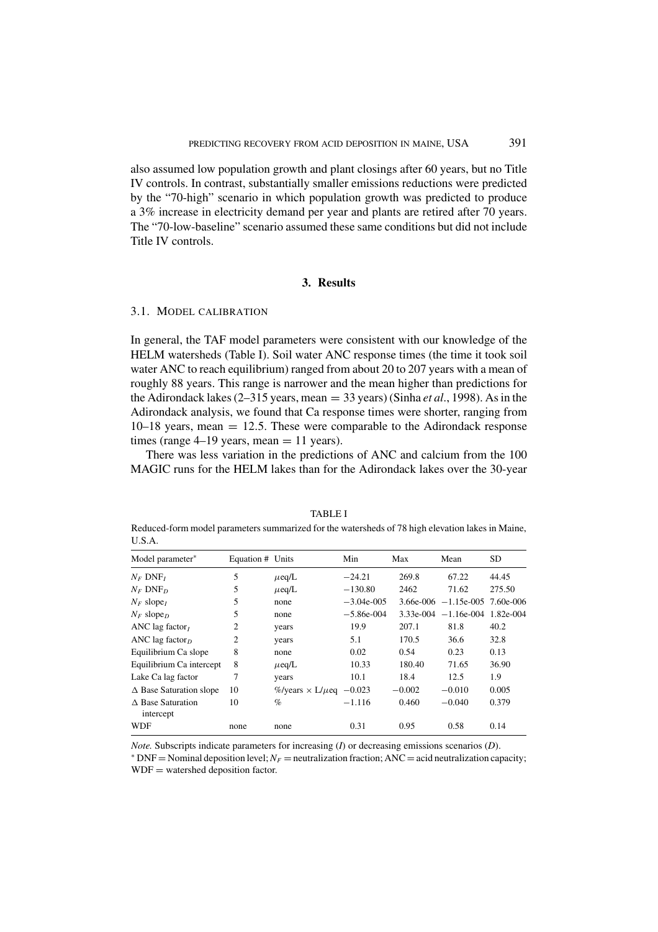also assumed low population growth and plant closings after 60 years, but no Title IV controls. In contrast, substantially smaller emissions reductions were predicted by the "70-high" scenario in which population growth was predicted to produce a 3% increase in electricity demand per year and plants are retired after 70 years. The "70-low-baseline" scenario assumed these same conditions but did not include Title IV controls.

## **3. Results**

### 3.1. MODEL CALIBRATION

In general, the TAF model parameters were consistent with our knowledge of the HELM watersheds (Table I). Soil water ANC response times (the time it took soil water ANC to reach equilibrium) ranged from about 20 to 207 years with a mean of roughly 88 years. This range is narrower and the mean higher than predictions for the Adirondack lakes (2–315 years, mean = 33 years) (Sinha *et al*., 1998). As in the Adirondack analysis, we found that Ca response times were shorter, ranging from  $10-18$  years, mean  $= 12.5$ . These were comparable to the Adirondack response times (range  $4-19$  years, mean  $= 11$  years).

There was less variation in the predictions of ANC and calcium from the 100 MAGIC runs for the HELM lakes than for the Adirondack lakes over the 30-year

TABLE I Reduced-form model parameters summarized for the watersheds of 78 high elevation lakes in Maine, U.S.A.

| Model parameter*                         | Equation # Units |                                    | Min          | Max      | Mean                             | <b>SD</b> |
|------------------------------------------|------------------|------------------------------------|--------------|----------|----------------------------------|-----------|
| $N_F$ DNF <sub>I</sub>                   | 5                | $\mu$ eq/L                         | $-24.21$     | 269.8    | 67.22                            | 44.45     |
| $N_F$ DNF <sub>D</sub>                   | 5                | $\mu$ eq/L                         | $-130.80$    | 2462     | 71.62                            | 275.50    |
| $N_F$ slope <sub>I</sub>                 | 5                | none                               | $-3.04e-005$ |          | $3.66e-006$ -1.15e-005 7.60e-006 |           |
| $N_F$ slope <sub>D</sub>                 | 5                | none                               | $-5.86e-004$ |          | $3.33e-004 -1.16e-004$           | 1.82e-004 |
| ANC lag factor                           | 2                | years                              | 19.9         | 207.1    | 81.8                             | 40.2      |
| ANC lag factor <sub><math>D</math></sub> | 2                | years                              | 5.1          | 170.5    | 36.6                             | 32.8      |
| Equilibrium Ca slope                     | 8                | none                               | 0.02         | 0.54     | 0.23                             | 0.13      |
| Equilibrium Ca intercept                 | 8                | $\mu$ eq/L                         | 10.33        | 180.40   | 71.65                            | 36.90     |
| Lake Ca lag factor                       | 7                | years                              | 10.1         | 18.4     | 12.5                             | 1.9       |
| $\triangle$ Base Saturation slope        | 10               | %/years $\times L/\mu$ eq $-0.023$ |              | $-0.002$ | $-0.010$                         | 0.005     |
| $\triangle$ Base Saturation<br>intercept | 10               | $\%$                               | $-1.116$     | 0.460    | $-0.040$                         | 0.379     |
| WDF                                      | none             | none                               | 0.31         | 0.95     | 0.58                             | 0.14      |

*Note.* Subscripts indicate parameters for increasing (*I*) or decreasing emissions scenarios (*D*).

 $*$  DNF = Nominal deposition level;  $N_F$  = neutralization fraction; ANC = acid neutralization capacity;  $WDF =$  watershed deposition factor.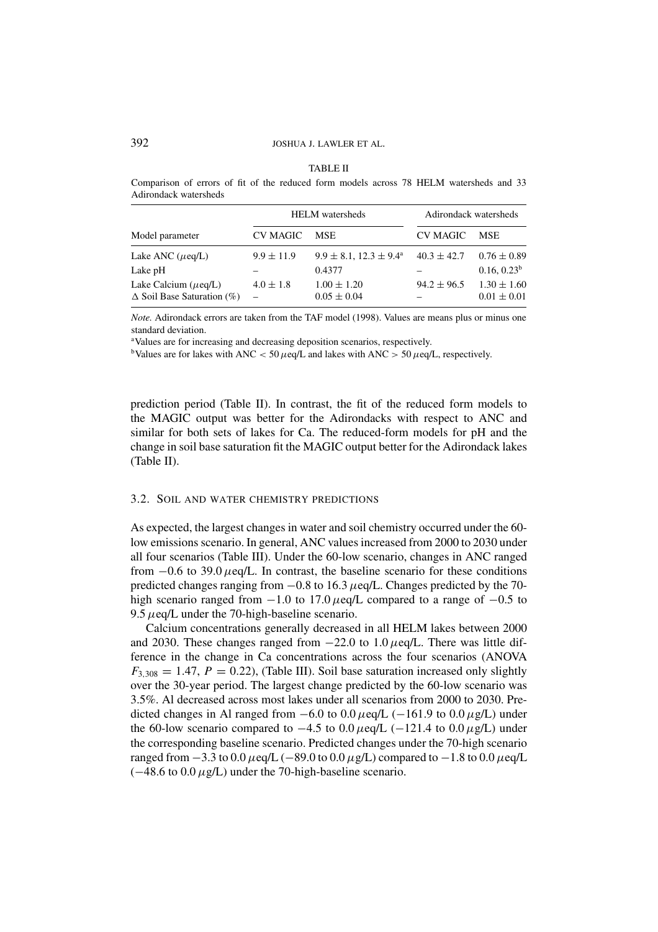| n |
|---|
|---|

Comparison of errors of fit of the reduced form models across 78 HELM watersheds and 33 Adirondack watersheds

|                                                                |                | <b>HELM</b> watersheds                           | Adirondack watersheds |                                            |
|----------------------------------------------------------------|----------------|--------------------------------------------------|-----------------------|--------------------------------------------|
| Model parameter                                                | CV MAGIC       | <b>MSE</b>                                       | CV MAGIC              | <b>MSE</b>                                 |
| Lake ANC $(\mu$ eq/L)<br>Lake pH                               | $9.9 \pm 11.9$ | $9.9 \pm 8.1$ , $12.3 \pm 9.4^{\circ}$<br>0.4377 | $40.3 \pm 42.7$       | $0.76 \pm 0.89$<br>0.16, 0.23 <sup>b</sup> |
| Lake Calcium $(\mu$ eq/L)<br>$\Delta$ Soil Base Saturation (%) | $4.0 \pm 1.8$  | $1.00 \pm 1.20$<br>$0.05 \pm 0.04$               | $94.2 \pm 96.5$       | $1.30 \pm 1.60$<br>$0.01 \pm 0.01$         |

*Note.* Adirondack errors are taken from the TAF model (1998). Values are means plus or minus one standard deviation.

<sup>a</sup>Values are for increasing and decreasing deposition scenarios, respectively.

bValues are for lakes with ANC < 50  $\mu$ eq/L and lakes with ANC > 50  $\mu$ eq/L, respectively.

prediction period (Table II). In contrast, the fit of the reduced form models to the MAGIC output was better for the Adirondacks with respect to ANC and similar for both sets of lakes for Ca. The reduced-form models for pH and the change in soil base saturation fit the MAGIC output better for the Adirondack lakes (Table II).

#### 3.2. SOIL AND WATER CHEMISTRY PREDICTIONS

As expected, the largest changes in water and soil chemistry occurred under the 60 low emissions scenario. In general, ANC values increased from 2000 to 2030 under all four scenarios (Table III). Under the 60-low scenario, changes in ANC ranged from  $-0.6$  to 39.0  $\mu$ eq/L. In contrast, the baseline scenario for these conditions predicted changes ranging from  $-0.8$  to 16.3  $\mu$ eq/L. Changes predicted by the 70high scenario ranged from  $-1.0$  to 17.0  $\mu$ eq/L compared to a range of  $-0.5$  to 9.5  $\mu$ eq/L under the 70-high-baseline scenario.

Calcium concentrations generally decreased in all HELM lakes between 2000 and 2030. These changes ranged from  $-22.0$  to 1.0  $\mu$ eq/L. There was little difference in the change in Ca concentrations across the four scenarios (ANOVA  $F_{3,308} = 1.47$ ,  $P = 0.22$ ), (Table III). Soil base saturation increased only slightly over the 30-year period. The largest change predicted by the 60-low scenario was 3.5%. Al decreased across most lakes under all scenarios from 2000 to 2030. Predicted changes in Al ranged from  $-6.0$  to  $0.0 \mu$ eq/L ( $-161.9$  to  $0.0 \mu$ g/L) under the 60-low scenario compared to  $-4.5$  to 0.0  $\mu$ eq/L ( $-121.4$  to 0.0  $\mu$ g/L) under the corresponding baseline scenario. Predicted changes under the 70-high scenario ranged from  $-3.3$  to  $0.0 \mu$ eq/L ( $-89.0$  to  $0.0 \mu$ g/L) compared to  $-1.8$  to  $0.0 \mu$ eq/L  $(-48.6 \text{ to } 0.0 \mu$ g/L) under the 70-high-baseline scenario.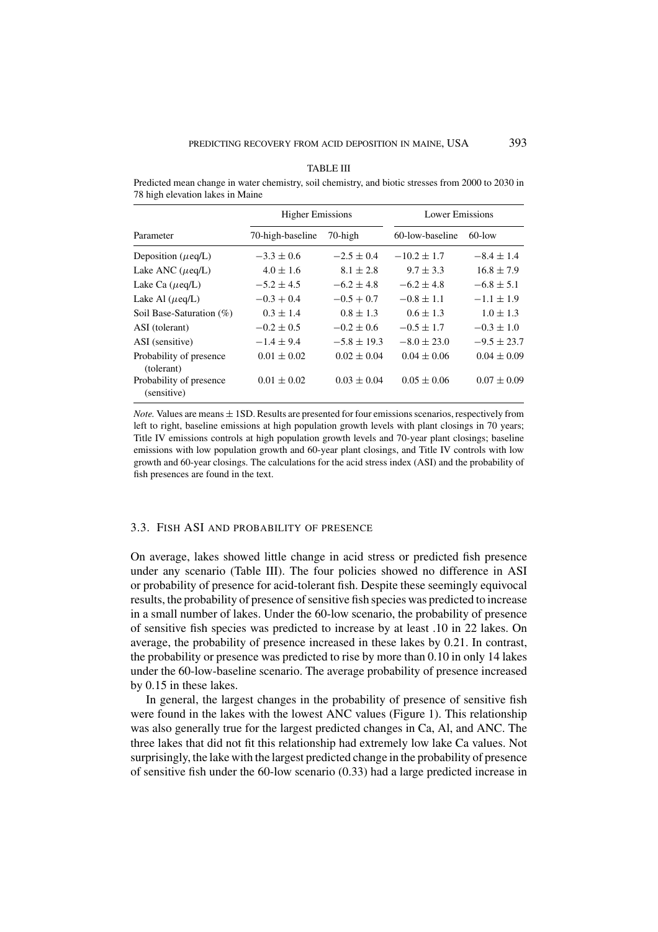| TABLE III |
|-----------|
|           |

Predicted mean change in water chemistry, soil chemistry, and biotic stresses from 2000 to 2030 in 78 high elevation lakes in Maine

|                                        | <b>Higher Emissions</b> |                 | Lower Emissions |                 |  |
|----------------------------------------|-------------------------|-----------------|-----------------|-----------------|--|
| Parameter                              | 70-high-baseline        | 70-high         | 60-low-baseline | $60$ -low       |  |
| Deposition ( $\mu$ eq/L)               | $-3.3 \pm 0.6$          | $-2.5 \pm 0.4$  | $-10.2 \pm 1.7$ | $-8.4 \pm 1.4$  |  |
| Lake ANC $(\mu$ eq/L)                  | $4.0 \pm 1.6$           | $8.1 \pm 2.8$   | $9.7 \pm 3.3$   | $16.8 \pm 7.9$  |  |
| Lake Ca $(\mu$ eq/L)                   | $-5.2 \pm 4.5$          | $-6.2 \pm 4.8$  | $-6.2 \pm 4.8$  | $-6.8 \pm 5.1$  |  |
| Lake Al $(\mu$ eq/L)                   | $-0.3 + 0.4$            | $-0.5 + 0.7$    | $-0.8 \pm 1.1$  | $-1.1 \pm 1.9$  |  |
| Soil Base-Saturation $(\%)$            | $0.3 \pm 1.4$           | $0.8 \pm 1.3$   | $0.6 \pm 1.3$   | $1.0 \pm 1.3$   |  |
| ASI (tolerant)                         | $-0.2 \pm 0.5$          | $-0.2 \pm 0.6$  | $-0.5 \pm 1.7$  | $-0.3 \pm 1.0$  |  |
| ASI (sensitive)                        | $-1.4 \pm 9.4$          | $-5.8 \pm 19.3$ | $-8.0 \pm 23.0$ | $-9.5 \pm 23.7$ |  |
| Probability of presence<br>(tolerant)  | $0.01 \pm 0.02$         | $0.02 \pm 0.04$ | $0.04 \pm 0.06$ | $0.04 \pm 0.09$ |  |
| Probability of presence<br>(sensitive) | $0.01 \pm 0.02$         | $0.03 \pm 0.04$ | $0.05 \pm 0.06$ | $0.07 \pm 0.09$ |  |

*Note.* Values are means  $\pm$  1SD. Results are presented for four emissions scenarios, respectively from left to right, baseline emissions at high population growth levels with plant closings in 70 years; Title IV emissions controls at high population growth levels and 70-year plant closings; baseline emissions with low population growth and 60-year plant closings, and Title IV controls with low growth and 60-year closings. The calculations for the acid stress index (ASI) and the probability of fish presences are found in the text.

## 3.3. FISH ASI AND PROBABILITY OF PRESENCE

On average, lakes showed little change in acid stress or predicted fish presence under any scenario (Table III). The four policies showed no difference in ASI or probability of presence for acid-tolerant fish. Despite these seemingly equivocal results, the probability of presence of sensitive fish species was predicted to increase in a small number of lakes. Under the 60-low scenario, the probability of presence of sensitive fish species was predicted to increase by at least .10 in 22 lakes. On average, the probability of presence increased in these lakes by 0.21. In contrast, the probability or presence was predicted to rise by more than 0.10 in only 14 lakes under the 60-low-baseline scenario. The average probability of presence increased by 0.15 in these lakes.

In general, the largest changes in the probability of presence of sensitive fish were found in the lakes with the lowest ANC values (Figure 1). This relationship was also generally true for the largest predicted changes in Ca, Al, and ANC. The three lakes that did not fit this relationship had extremely low lake Ca values. Not surprisingly, the lake with the largest predicted change in the probability of presence of sensitive fish under the 60-low scenario (0.33) had a large predicted increase in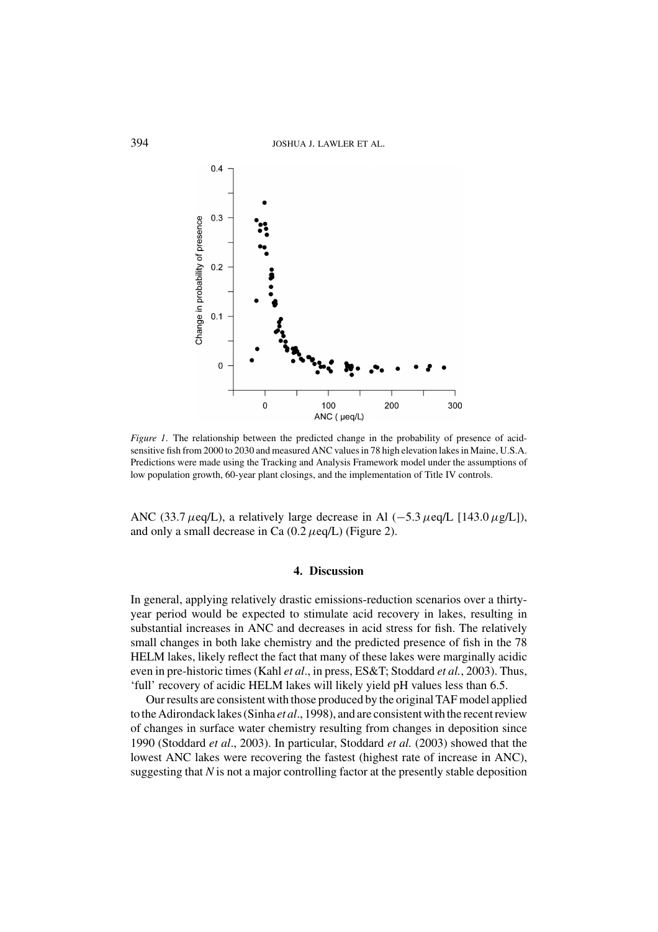

*Figure 1*. The relationship between the predicted change in the probability of presence of acidsensitive fish from 2000 to 2030 and measured ANC values in 78 high elevation lakes in Maine, U.S.A. Predictions were made using the Tracking and Analysis Framework model under the assumptions of low population growth, 60-year plant closings, and the implementation of Title IV controls.

ANC (33.7  $\mu$ eq/L), a relatively large decrease in Al (−5.3  $\mu$ eq/L [143.0  $\mu$ g/L]), and only a small decrease in Ca  $(0.2 \ \mu \text{eq/L})$  (Figure 2).

### **4. Discussion**

In general, applying relatively drastic emissions-reduction scenarios over a thirtyyear period would be expected to stimulate acid recovery in lakes, resulting in substantial increases in ANC and decreases in acid stress for fish. The relatively small changes in both lake chemistry and the predicted presence of fish in the 78 HELM lakes, likely reflect the fact that many of these lakes were marginally acidic even in pre-historic times (Kahl *et al*., in press, ES&T; Stoddard *et al.*, 2003). Thus, 'full' recovery of acidic HELM lakes will likely yield pH values less than 6.5.

Our results are consistent with those produced by the original TAF model applied to the Adirondack lakes (Sinha *et al*., 1998), and are consistent with the recent review of changes in surface water chemistry resulting from changes in deposition since 1990 (Stoddard *et al*., 2003). In particular, Stoddard *et al.* (2003) showed that the lowest ANC lakes were recovering the fastest (highest rate of increase in ANC), suggesting that *N* is not a major controlling factor at the presently stable deposition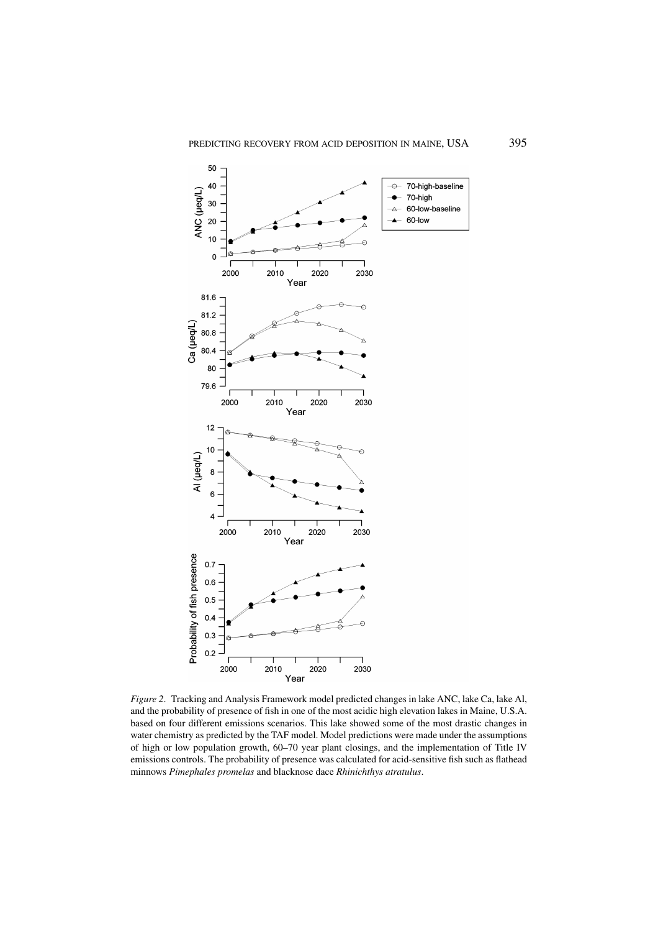

*Figure 2*. Tracking and Analysis Framework model predicted changes in lake ANC, lake Ca, lake Al, and the probability of presence of fish in one of the most acidic high elevation lakes in Maine, U.S.A. based on four different emissions scenarios. This lake showed some of the most drastic changes in water chemistry as predicted by the TAF model. Model predictions were made under the assumptions of high or low population growth, 60–70 year plant closings, and the implementation of Title IV emissions controls. The probability of presence was calculated for acid-sensitive fish such as flathead minnows *Pimephales promelas* and blacknose dace *Rhinichthys atratulus*.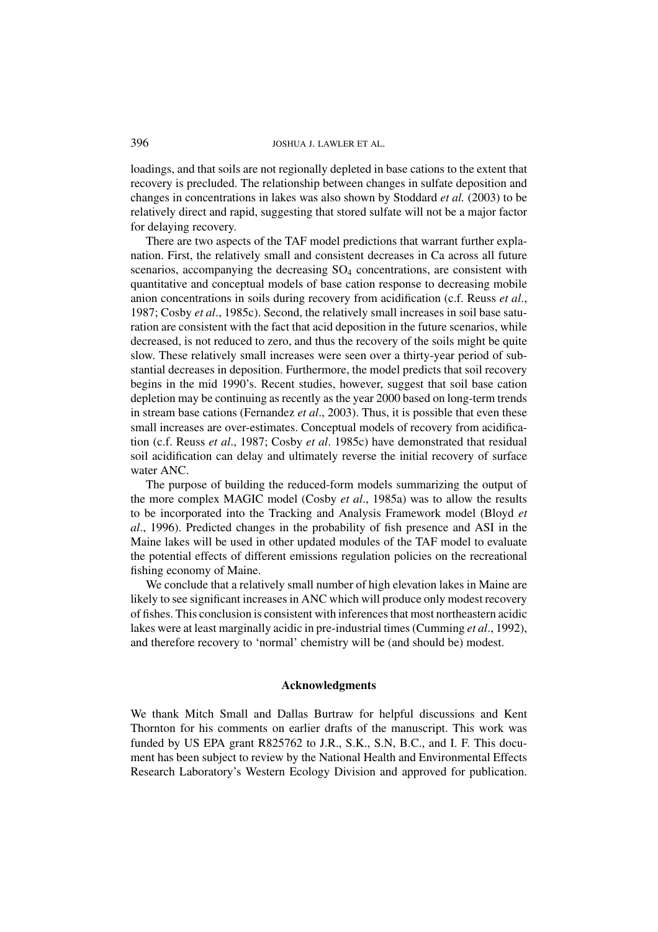loadings, and that soils are not regionally depleted in base cations to the extent that recovery is precluded. The relationship between changes in sulfate deposition and changes in concentrations in lakes was also shown by Stoddard *et al.* (2003) to be relatively direct and rapid, suggesting that stored sulfate will not be a major factor for delaying recovery.

There are two aspects of the TAF model predictions that warrant further explanation. First, the relatively small and consistent decreases in Ca across all future scenarios, accompanying the decreasing  $SO<sub>4</sub>$  concentrations, are consistent with quantitative and conceptual models of base cation response to decreasing mobile anion concentrations in soils during recovery from acidification (c.f. Reuss *et al*., 1987; Cosby *et al*., 1985c). Second, the relatively small increases in soil base saturation are consistent with the fact that acid deposition in the future scenarios, while decreased, is not reduced to zero, and thus the recovery of the soils might be quite slow. These relatively small increases were seen over a thirty-year period of substantial decreases in deposition. Furthermore, the model predicts that soil recovery begins in the mid 1990's. Recent studies, however, suggest that soil base cation depletion may be continuing as recently as the year 2000 based on long-term trends in stream base cations (Fernandez *et al*., 2003). Thus, it is possible that even these small increases are over-estimates. Conceptual models of recovery from acidification (c.f. Reuss *et al*., 1987; Cosby *et al*. 1985c) have demonstrated that residual soil acidification can delay and ultimately reverse the initial recovery of surface water ANC.

The purpose of building the reduced-form models summarizing the output of the more complex MAGIC model (Cosby *et al*., 1985a) was to allow the results to be incorporated into the Tracking and Analysis Framework model (Bloyd *et al*., 1996). Predicted changes in the probability of fish presence and ASI in the Maine lakes will be used in other updated modules of the TAF model to evaluate the potential effects of different emissions regulation policies on the recreational fishing economy of Maine.

We conclude that a relatively small number of high elevation lakes in Maine are likely to see significant increases in ANC which will produce only modest recovery of fishes. This conclusion is consistent with inferences that most northeastern acidic lakes were at least marginally acidic in pre-industrial times (Cumming *et al*., 1992), and therefore recovery to 'normal' chemistry will be (and should be) modest.

## **Acknowledgments**

We thank Mitch Small and Dallas Burtraw for helpful discussions and Kent Thornton for his comments on earlier drafts of the manuscript. This work was funded by US EPA grant R825762 to J.R., S.K., S.N, B.C., and I. F. This document has been subject to review by the National Health and Environmental Effects Research Laboratory's Western Ecology Division and approved for publication.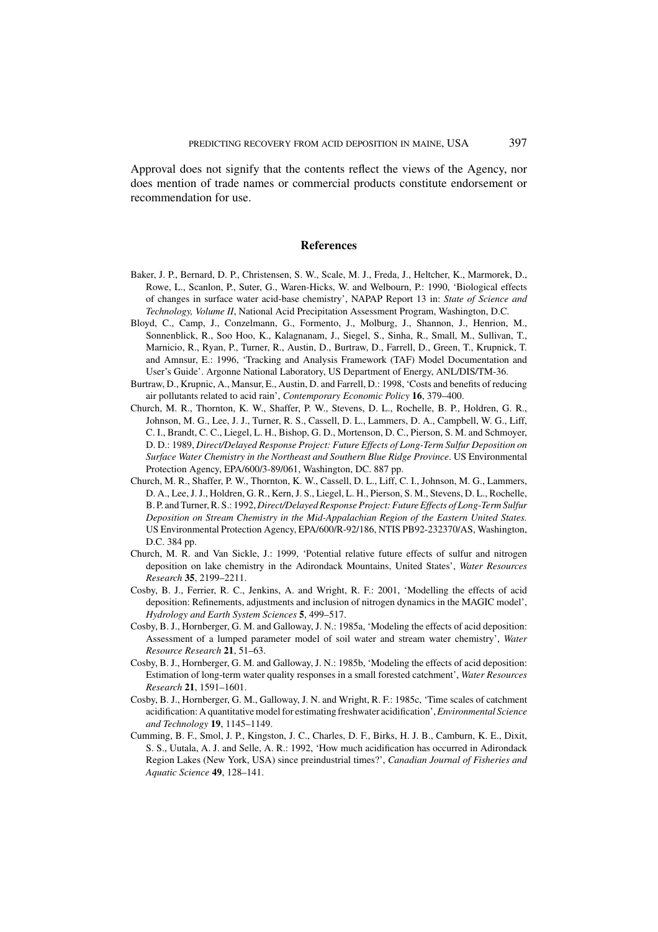Approval does not signify that the contents reflect the views of the Agency, nor does mention of trade names or commercial products constitute endorsement or recommendation for use.

### **References**

- Baker, J. P., Bernard, D. P., Christensen, S. W., Scale, M. J., Freda, J., Heltcher, K., Marmorek, D., Rowe, L., Scanlon, P., Suter, G., Waren-Hicks, W. and Welbourn, P.: 1990, 'Biological effects of changes in surface water acid-base chemistry', NAPAP Report 13 in: *State of Science and Technology, Volume II*, National Acid Precipitation Assessment Program, Washington, D.C.
- Bloyd, C., Camp, J., Conzelmann, G., Formento, J., Molburg, J., Shannon, J., Henrion, M., Sonnenblick, R., Soo Hoo, K., Kalagnanam, J., Siegel, S., Sinha, R., Small, M., Sullivan, T., Marnicio, R., Ryan, P., Turner, R., Austin, D., Burtraw, D., Farrell, D., Green, T., Krupnick, T. and Amnsur, E.: 1996, 'Tracking and Analysis Framework (TAF) Model Documentation and User's Guide'. Argonne National Laboratory, US Department of Energy, ANL/DIS/TM-36.
- Burtraw, D., Krupnic, A., Mansur, E., Austin, D. and Farrell, D.: 1998, 'Costs and benefits of reducing air pollutants related to acid rain', *Contemporary Economic Policy* **16**, 379–400.
- Church, M. R., Thornton, K. W., Shaffer, P. W., Stevens, D. L., Rochelle, B. P., Holdren, G. R., Johnson, M. G., Lee, J. J., Turner, R. S., Cassell, D. L., Lammers, D. A., Campbell, W. G., Liff, C. I., Brandt, C. C., Liegel, L. H., Bishop, G. D., Mortenson, D. C., Pierson, S. M. and Schmoyer, D. D.: 1989, *Direct/Delayed Response Project: Future Effects of Long-Term Sulfur Deposition on Surface Water Chemistry in the Northeast and Southern Blue Ridge Province*. US Environmental Protection Agency, EPA/600/3-89/061, Washington, DC. 887 pp.
- Church, M. R., Shaffer, P. W., Thornton, K. W., Cassell, D. L., Liff, C. I., Johnson, M. G., Lammers, D. A., Lee, J. J., Holdren, G. R., Kern, J. S., Liegel, L. H., Pierson, S. M., Stevens, D. L., Rochelle, B. P. and Turner, R. S.: 1992, *Direct/Delayed Response Project: Future Effects of Long-Term Sulfur Deposition on Stream Chemistry in the Mid-Appalachian Region of the Eastern United States.* US Environmental Protection Agency, EPA/600/R-92/186, NTIS PB92-232370/AS, Washington, D.C. 384 pp.
- Church, M. R. and Van Sickle, J.: 1999, 'Potential relative future effects of sulfur and nitrogen deposition on lake chemistry in the Adirondack Mountains, United States', *Water Resources Research* **35**, 2199–2211.
- Cosby, B. J., Ferrier, R. C., Jenkins, A. and Wright, R. F.: 2001, 'Modelling the effects of acid deposition: Refinements, adjustments and inclusion of nitrogen dynamics in the MAGIC model', *Hydrology and Earth System Sciences* **5**, 499–517.
- Cosby, B. J., Hornberger, G. M. and Galloway, J. N.: 1985a, 'Modeling the effects of acid deposition: Assessment of a lumped parameter model of soil water and stream water chemistry', *Water Resource Research* **21**, 51–63.
- Cosby, B. J., Hornberger, G. M. and Galloway, J. N.: 1985b, 'Modeling the effects of acid deposition: Estimation of long-term water quality responses in a small forested catchment', *Water Resources Research* **21**, 1591–1601.
- Cosby, B. J., Hornberger, G. M., Galloway, J. N. and Wright, R. F.: 1985c, 'Time scales of catchment acidification: A quantitative model for estimating freshwater acidification',*Environmental Science and Technology* **19**, 1145–1149.
- Cumming, B. F., Smol, J. P., Kingston, J. C., Charles, D. F., Birks, H. J. B., Camburn, K. E., Dixit, S. S., Uutala, A. J. and Selle, A. R.: 1992, 'How much acidification has occurred in Adirondack Region Lakes (New York, USA) since preindustrial times?', *Canadian Journal of Fisheries and Aquatic Science* **49**, 128–141.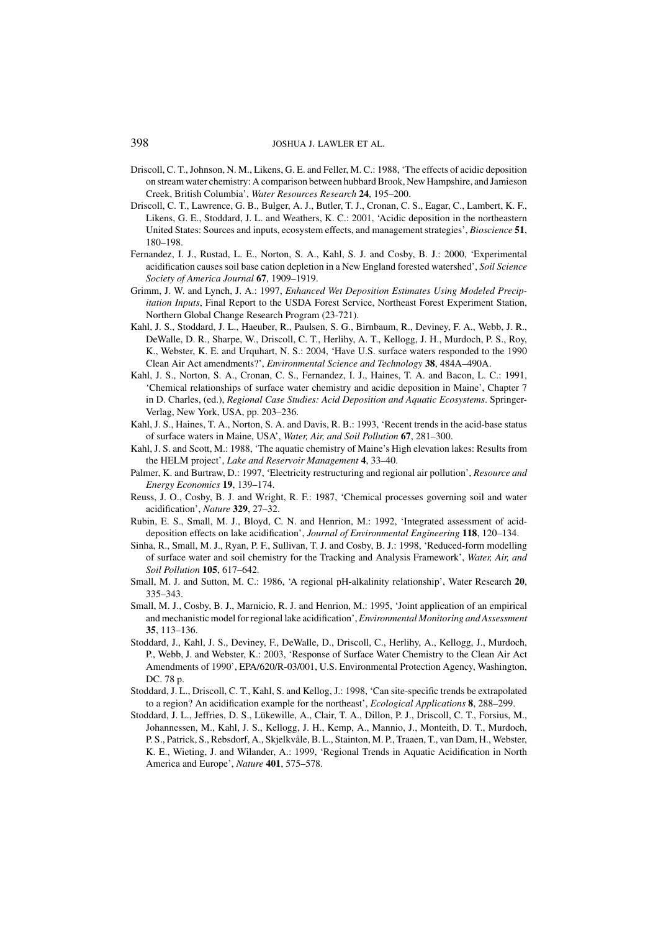- Driscoll, C. T., Johnson, N. M., Likens, G. E. and Feller, M. C.: 1988, 'The effects of acidic deposition on stream water chemistry: A comparison between hubbard Brook, New Hampshire, and Jamieson Creek, British Columbia', *Water Resources Research* **24**, 195–200.
- Driscoll, C. T., Lawrence, G. B., Bulger, A. J., Butler, T. J., Cronan, C. S., Eagar, C., Lambert, K. F., Likens, G. E., Stoddard, J. L. and Weathers, K. C.: 2001, 'Acidic deposition in the northeastern United States: Sources and inputs, ecosystem effects, and management strategies', *Bioscience* **51**, 180–198.
- Fernandez, I. J., Rustad, L. E., Norton, S. A., Kahl, S. J. and Cosby, B. J.: 2000, 'Experimental acidification causes soil base cation depletion in a New England forested watershed', *Soil Science Society of America Journal* **67**, 1909–1919.
- Grimm, J. W. and Lynch, J. A.: 1997, *Enhanced Wet Deposition Estimates Using Modeled Precipitation Inputs*, Final Report to the USDA Forest Service, Northeast Forest Experiment Station, Northern Global Change Research Program (23-721).
- Kahl, J. S., Stoddard, J. L., Haeuber, R., Paulsen, S. G., Birnbaum, R., Deviney, F. A., Webb, J. R., DeWalle, D. R., Sharpe, W., Driscoll, C. T., Herlihy, A. T., Kellogg, J. H., Murdoch, P. S., Roy, K., Webster, K. E. and Urquhart, N. S.: 2004, 'Have U.S. surface waters responded to the 1990 Clean Air Act amendments?', *Environmental Science and Technology* **38**, 484A–490A.
- Kahl, J. S., Norton, S. A., Cronan, C. S., Fernandez, I. J., Haines, T. A. and Bacon, L. C.: 1991, 'Chemical relationships of surface water chemistry and acidic deposition in Maine', Chapter 7 in D. Charles, (ed.), *Regional Case Studies: Acid Deposition and Aquatic Ecosystems*. Springer-Verlag, New York, USA, pp. 203–236.
- Kahl, J. S., Haines, T. A., Norton, S. A. and Davis, R. B.: 1993, 'Recent trends in the acid-base status of surface waters in Maine, USA', *Water, Air, and Soil Pollution* **67**, 281–300.
- Kahl, J. S. and Scott, M.: 1988, 'The aquatic chemistry of Maine's High elevation lakes: Results from the HELM project', *Lake and Reservoir Management* **4**, 33–40.
- Palmer, K. and Burtraw, D.: 1997, 'Electricity restructuring and regional air pollution', *Resource and Energy Economics* **19**, 139–174.
- Reuss, J. O., Cosby, B. J. and Wright, R. F.: 1987, 'Chemical processes governing soil and water acidification', *Nature* **329**, 27–32.
- Rubin, E. S., Small, M. J., Bloyd, C. N. and Henrion, M.: 1992, 'Integrated assessment of aciddeposition effects on lake acidification', *Journal of Environmental Engineering* **118**, 120–134.
- Sinha, R., Small, M. J., Ryan, P. F., Sullivan, T. J. and Cosby, B. J.: 1998, 'Reduced-form modelling of surface water and soil chemistry for the Tracking and Analysis Framework', *Water, Air, and Soil Pollution* **105**, 617–642.
- Small, M. J. and Sutton, M. C.: 1986, 'A regional pH-alkalinity relationship', Water Research **20**, 335–343.
- Small, M. J., Cosby, B. J., Marnicio, R. J. and Henrion, M.: 1995, 'Joint application of an empirical and mechanistic model for regional lake acidification', *Environmental Monitoring and Assessment* **35**, 113–136.
- Stoddard, J., Kahl, J. S., Deviney, F., DeWalle, D., Driscoll, C., Herlihy, A., Kellogg, J., Murdoch, P., Webb, J. and Webster, K.: 2003, 'Response of Surface Water Chemistry to the Clean Air Act Amendments of 1990', EPA/620/R-03/001, U.S. Environmental Protection Agency, Washington, DC. 78 p.
- Stoddard, J. L., Driscoll, C. T., Kahl, S. and Kellog, J.: 1998, 'Can site-specific trends be extrapolated to a region? An acidification example for the northeast', *Ecological Applications* **8**, 288–299.
- Stoddard, J. L., Jeffries, D. S., Lükewille, A., Clair, T. A., Dillon, P. J., Driscoll, C. T., Forsius, M., Johannessen, M., Kahl, J. S., Kellogg, J. H., Kemp, A., Mannio, J., Monteith, D. T., Murdoch, P. S., Patrick, S., Rebsdorf, A., Skjelkvåle, B. L., Stainton, M. P., Traaen, T., van Dam, H., Webster, K. E., Wieting, J. and Wilander, A.: 1999, 'Regional Trends in Aquatic Acidification in North America and Europe', *Nature* **401**, 575–578.